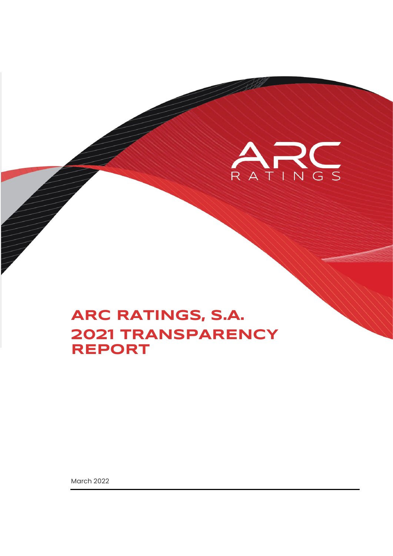

March 2022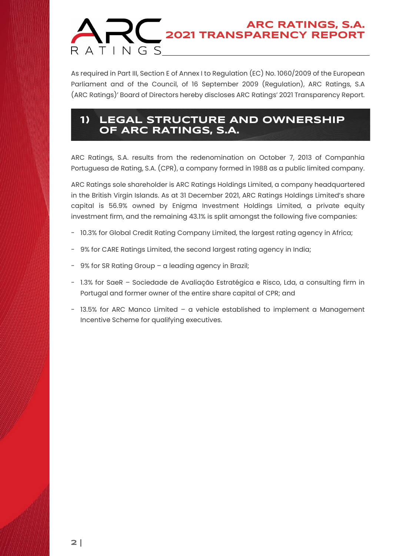As required in Part III, Section E of Annex I to Regulation (EC) No. 1060/2009 of the European Parliament and of the Council, of 16 September 2009 (Regulation), ARC Ratings, S.A (ARC Ratings)' Board of Directors hereby discloses ARC Ratings' 2021 Transparency Report.

### **1) LEGAL STRUCTURE AND OWNERSHIP OF ARC RATINGS, S.A.**

ARC Ratings, S.A. results from the redenomination on October 7, 2013 of Companhia Portuguesa de Rating, S.A. (CPR), a company formed in 1988 as a public limited company.

ARC Ratings sole shareholder is ARC Ratings Holdings Limited, a company headquartered in the British Virgin Islands. As at 31 December 2021, ARC Ratings Holdings Limited's share capital is 56.9% owned by Enigma Investment Holdings Limited, a private equity investment firm, and the remaining 43.1% is split amongst the following five companies:

- 10.3% for Global Credit Rating Company Limited, the largest rating agency in Africa;
- 9% for CARE Ratings Limited, the second largest rating agency in India;
- 9% for SR Rating Group a leading agency in Brazil;
- 1.3% for SaeR Sociedade de Avaliação Estratégica e Risco, Lda, a consulting firm in Portugal and former owner of the entire share capital of CPR; and
- 13.5% for ARC Manco Limited a vehicle established to implement a Management Incentive Scheme for qualifying executives.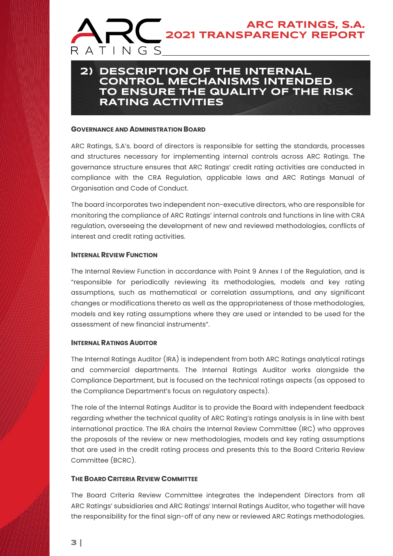### **2) DESCRIPTION OF THE INTERNAL CONTROL MECHANISMS INTENDED TO ENSURE THE QUALITY OF THE RISK RATING ACTIVITIES**

#### **GOVERNANCE AND ADMINISTRATION BOARD**

ARC Ratings, S.A's. board of directors is responsible for setting the standards, processes and structures necessary for implementing internal controls across ARC Ratings. The governance structure ensures that ARC Ratings' credit rating activities are conducted in compliance with the CRA Regulation, applicable laws and ARC Ratings Manual of Organisation and Code of Conduct.

The board incorporates two independent non-executive directors, who are responsible for monitoring the compliance of ARC Ratings' internal controls and functions in line with CRA regulation, overseeing the development of new and reviewed methodologies, conflicts of interest and credit rating activities.

#### **INTERNAL REVIEW FUNCTION**

The Internal Review Function in accordance with Point 9 Annex I of the Regulation, and is "responsible for periodically reviewing its methodologies, models and key rating assumptions, such as mathematical or correlation assumptions, and any significant changes or modifications thereto as well as the appropriateness of those methodologies, models and key rating assumptions where they are used or intended to be used for the assessment of new financial instruments".

#### **INTERNAL RATINGS AUDITOR**

The Internal Ratings Auditor (IRA) is independent from both ARC Ratings analytical ratings and commercial departments. The Internal Ratings Auditor works alongside the Compliance Department, but is focused on the technical ratings aspects (as opposed to the Compliance Department's focus on regulatory aspects).

The role of the Internal Ratings Auditor is to provide the Board with independent feedback regarding whether the technical quality of ARC Rating's ratings analysis is in line with best international practice. The IRA chairs the Internal Review Committee (IRC) who approves the proposals of the review or new methodologies, models and key rating assumptions that are used in the credit rating process and presents this to the Board Criteria Review Committee (BCRC).

#### **THE BOARD CRITERIA REVIEW COMMITTEE**

The Board Criteria Review Committee integrates the Independent Directors from all ARC Ratings' subsidiaries and ARC Ratings' Internal Ratings Auditor, who together will have the responsibility for the final sign-off of any new or reviewed ARC Ratings methodologies.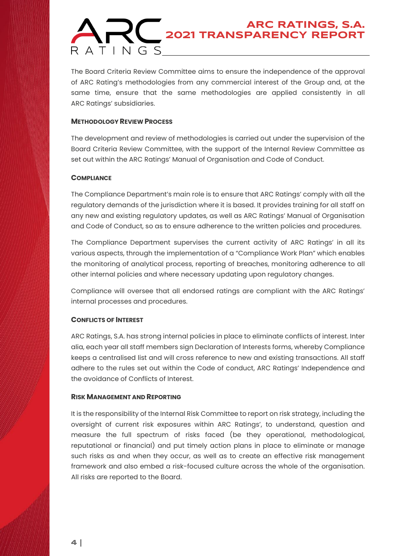The Board Criteria Review Committee aims to ensure the independence of the approval of ARC Rating's methodologies from any commercial interest of the Group and, at the same time, ensure that the same methodologies are applied consistently in all ARC Ratings' subsidiaries.

#### **METHODOLOGY REVIEW PROCESS**

The development and review of methodologies is carried out under the supervision of the Board Criteria Review Committee, with the support of the Internal Review Committee as set out within the ARC Ratings' Manual of Organisation and Code of Conduct.

#### **COMPLIANCE**

The Compliance Department's main role is to ensure that ARC Ratings' comply with all the regulatory demands of the jurisdiction where it is based. It provides training for all staff on any new and existing regulatory updates, as well as ARC Ratings' Manual of Organisation and Code of Conduct, so as to ensure adherence to the written policies and procedures.

The Compliance Department supervises the current activity of ARC Ratings' in all its various aspects, through the implementation of a "Compliance Work Plan" which enables the monitoring of analytical process, reporting of breaches, monitoring adherence to all other internal policies and where necessary updating upon regulatory changes.

Compliance will oversee that all endorsed ratings are compliant with the ARC Ratings' internal processes and procedures.

#### **CONFLICTS OF INTEREST**

ARC Ratings, S.A. has strong internal policies in place to eliminate conflicts of interest. Inter alia, each year all staff members sign Declaration of Interests forms, whereby Compliance keeps a centralised list and will cross reference to new and existing transactions. All staff adhere to the rules set out within the Code of conduct, ARC Ratings' Independence and the avoidance of Conflicts of Interest.

#### **RISK MANAGEMENT AND REPORTING**

It is the responsibility of the Internal Risk Committee to report on risk strategy, including the oversight of current risk exposures within ARC Ratings', to understand, question and measure the full spectrum of risks faced (be they operational, methodological, reputational or financial) and put timely action plans in place to eliminate or manage such risks as and when they occur, as well as to create an effective risk management framework and also embed a risk-focused culture across the whole of the organisation. All risks are reported to the Board.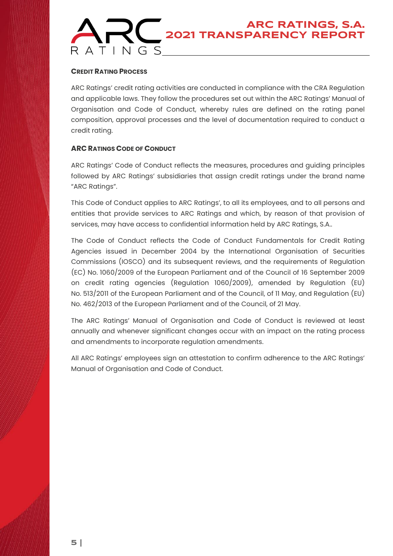#### **CREDIT RATING PROCESS**

ARC Ratings' credit rating activities are conducted in compliance with the CRA Regulation and applicable laws. They follow the procedures set out within the ARC Ratings' Manual of Organisation and Code of Conduct, whereby rules are defined on the rating panel composition, approval processes and the level of documentation required to conduct a credit rating.

#### **ARC RATINGS CODE OF CONDUCT**

ARC Ratings' Code of Conduct reflects the measures, procedures and guiding principles followed by ARC Ratings' subsidiaries that assign credit ratings under the brand name "ARC Ratings".

This Code of Conduct applies to ARC Ratings', to all its employees, and to all persons and entities that provide services to ARC Ratings and which, by reason of that provision of services, may have access to confidential information held by ARC Ratings, S.A..

The Code of Conduct reflects the Code of Conduct Fundamentals for Credit Rating Agencies issued in December 2004 by the International Organisation of Securities Commissions (IOSCO) and its subsequent reviews, and the requirements of Regulation (EC) No. 1060/2009 of the European Parliament and of the Council of 16 September 2009 on credit rating agencies (Regulation 1060/2009), amended by Regulation (EU) No. 513/2011 of the European Parliament and of the Council, of 11 May, and Regulation (EU) No. 462/2013 of the European Parliament and of the Council, of 21 May.

The ARC Ratings' Manual of Organisation and Code of Conduct is reviewed at least annually and whenever significant changes occur with an impact on the rating process and amendments to incorporate regulation amendments.

All ARC Ratings' employees sign an attestation to confirm adherence to the ARC Ratings' Manual of Organisation and Code of Conduct.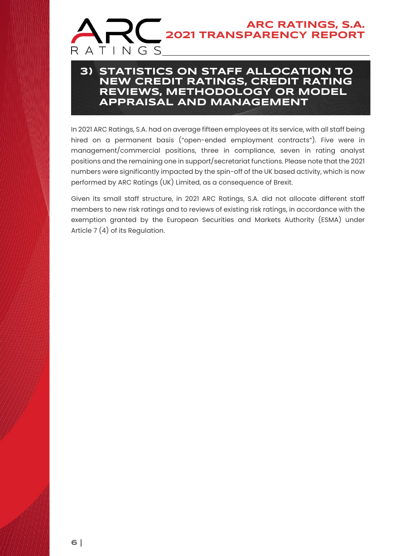### **3) STATISTICS ON STAFF ALLOCATION TO NEW CREDIT RATINGS, CREDIT RATING REVIEWS, METHODOLOGY OR MODEL APPRAISAL AND MANAGEMENT**

In 2021 ARC Ratings, S.A. had on average fifteen employees at its service, with all staff being hired on a permanent basis ("open-ended employment contracts"). Five were in management/commercial positions, three in compliance, seven in rating analyst positions and the remaining one in support/secretariat functions. Please note that the 2021 numbers were significantly impacted by the spin-off of the UK based activity, which is now performed by ARC Ratings (UK) Limited, as a consequence of Brexit.

Given its small staff structure, in 2021 ARC Ratings, S.A. did not allocate different staff members to new risk ratings and to reviews of existing risk ratings, in accordance with the exemption granted by the European Securities and Markets Authority (ESMA) under Article 7 (4) of its Regulation.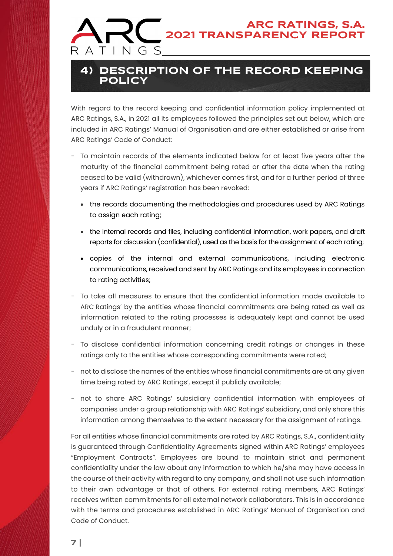### **4) DESCRIPTION OF THE RECORD KEEPING POLICY**

With regard to the record keeping and confidential information policy implemented at ARC Ratings, S.A., in 2021 all its employees followed the principles set out below, which are included in ARC Ratings' Manual of Organisation and are either established or arise from ARC Ratings' Code of Conduct:

- To maintain records of the elements indicated below for at least five years after the maturity of the financial commitment being rated or after the date when the rating ceased to be valid (withdrawn), whichever comes first, and for a further period of three years if ARC Ratings' registration has been revoked:
	- the records documenting the methodologies and procedures used by ARC Ratings to assign each rating;
	- the internal records and files, including confidential information, work papers, and draft reports for discussion (confidential), used as the basis for the assignment of each rating;
	- copies of the internal and external communications, including electronic communications, received and sent by ARC Ratings and its employees in connection to rating activities;
- To take all measures to ensure that the confidential information made available to ARC Ratings' by the entities whose financial commitments are being rated as well as information related to the rating processes is adequately kept and cannot be used unduly or in a fraudulent manner;
- To disclose confidential information concerning credit ratings or changes in these ratings only to the entities whose corresponding commitments were rated;
- not to disclose the names of the entities whose financial commitments are at any given time being rated by ARC Ratings', except if publicly available;
- not to share ARC Ratings' subsidiary confidential information with employees of companies under a group relationship with ARC Ratings' subsidiary, and only share this information among themselves to the extent necessary for the assignment of ratings.

For all entities whose financial commitments are rated by ARC Ratings, S.A., confidentiality is guaranteed through Confidentiality Agreements signed within ARC Ratings' employees "Employment Contracts". Employees are bound to maintain strict and permanent confidentiality under the law about any information to which he/she may have access in the course of their activity with regard to any company, and shall not use such information to their own advantage or that of others. For external rating members, ARC Ratings' receives written commitments for all external network collaborators. This is in accordance with the terms and procedures established in ARC Ratings' Manual of Organisation and Code of Conduct.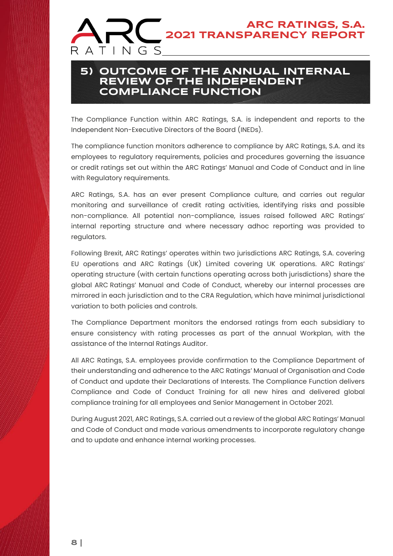### **5) OUTCOME OF THE ANNUAL INTERNAL REVIEW OF THE INDEPENDENT COMPLIANCE FUNCTION**

The Compliance Function within ARC Ratings, S.A. is independent and reports to the Independent Non-Executive Directors of the Board (INEDs).

The compliance function monitors adherence to compliance by ARC Ratings, S.A. and its employees to regulatory requirements, policies and procedures governing the issuance or credit ratings set out within the ARC Ratings' Manual and Code of Conduct and in line with Regulatory requirements.

ARC Ratings, S.A. has an ever present Compliance culture, and carries out regular monitoring and surveillance of credit rating activities, identifying risks and possible non-compliance. All potential non-compliance, issues raised followed ARC Ratings' internal reporting structure and where necessary adhoc reporting was provided to regulators.

Following Brexit, ARC Ratings' operates within two jurisdictions ARC Ratings, S.A. covering EU operations and ARC Ratings (UK) Limited covering UK operations. ARC Ratings' operating structure (with certain functions operating across both jurisdictions) share the global ARC Ratings' Manual and Code of Conduct, whereby our internal processes are mirrored in each jurisdiction and to the CRA Regulation, which have minimal jurisdictional variation to both policies and controls.

The Compliance Department monitors the endorsed ratings from each subsidiary to ensure consistency with rating processes as part of the annual Workplan, with the assistance of the Internal Ratings Auditor.

All ARC Ratings, S.A. employees provide confirmation to the Compliance Department of their understanding and adherence to the ARC Ratings' Manual of Organisation and Code of Conduct and update their Declarations of Interests. The Compliance Function delivers Compliance and Code of Conduct Training for all new hires and delivered global compliance training for all employees and Senior Management in October 2021.

During August 2021, ARC Ratings, S.A. carried out a review of the global ARC Ratings' Manual and Code of Conduct and made various amendments to incorporate regulatory change and to update and enhance internal working processes.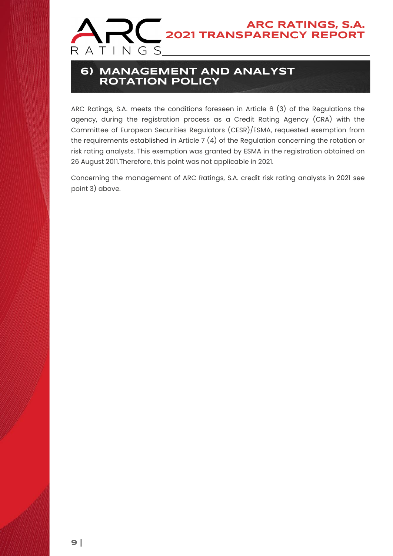

### **6) MANAGEMENT AND ANALYST ROTATION POLICY**

ARC Ratings, S.A. meets the conditions foreseen in Article 6 (3) of the Regulations the agency, during the registration process as a Credit Rating Agency (CRA) with the Committee of European Securities Regulators (CESR)/ESMA, requested exemption from the requirements established in Article 7 (4) of the Regulation concerning the rotation or risk rating analysts. This exemption was granted by ESMA in the registration obtained on 26 August 2011.Therefore, this point was not applicable in 2021.

Concerning the management of ARC Ratings, S.A. credit risk rating analysts in 2021 see point 3) above.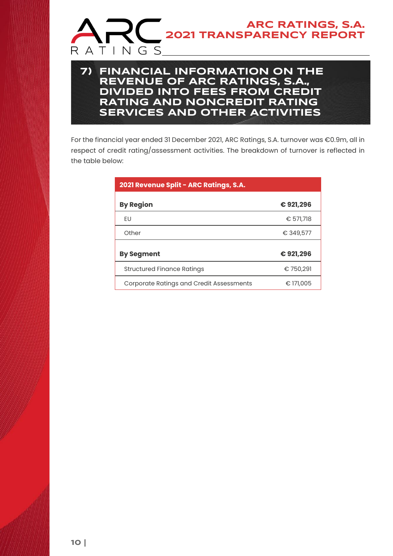

### **7) FINANCIAL INFORMATION ON THE REVENUE OF ARC RATINGS, S.A., DIVIDED INTO FEES FROM CREDIT RATING AND NONCREDIT RATING SERVICES AND OTHER ACTIVITIES**

For the financial year ended 31 December 2021, ARC Ratings, S.A. turnover was €0.9m, all in respect of credit rating/assessment activities. The breakdown of turnover is reflected in the table below:

| 2021 Revenue Split - ARC Ratings, S.A.          |           |
|-------------------------------------------------|-----------|
| <b>By Region</b>                                | €921,296  |
| EU                                              | € 571,718 |
| Other                                           | € 349,577 |
| <b>By Segment</b>                               | €921,296  |
| <b>Structured Finance Ratings</b>               | € 750,291 |
| <b>Corporate Ratings and Credit Assessments</b> | € 171,005 |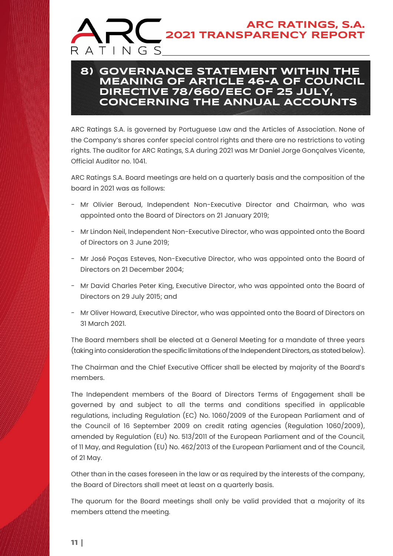### **8) GOVERNANCE STATEMENT WITHIN THE MEANING OF ARTICLE 46-A OF COUNCIL DIRECTIVE 78/660/EEC OF 25 JULY, CONCERNING THE ANNUAL ACCOUNTS**

ARC Ratings S.A. is governed by Portuguese Law and the Articles of Association. None of the Company's shares confer special control rights and there are no restrictions to voting rights. The auditor for ARC Ratings, S.A during 2021 was Mr Daniel Jorge Gonçalves Vicente, Official Auditor no. 1041.

ARC Ratings S.A. Board meetings are held on a quarterly basis and the composition of the board in 2021 was as follows:

- Mr Olivier Beroud, Independent Non-Executive Director and Chairman, who was appointed onto the Board of Directors on 21 January 2019;
- Mr Lindon Neil, Independent Non-Executive Director, who was appointed onto the Board of Directors on 3 June 2019;
- Mr José Poças Esteves, Non-Executive Director, who was appointed onto the Board of Directors on 21 December 2004;
- Mr David Charles Peter King, Executive Director, who was appointed onto the Board of Directors on 29 July 2015; and
- Mr Oliver Howard, Executive Director, who was appointed onto the Board of Directors on 31 March 2021.

The Board members shall be elected at a General Meeting for a mandate of three years (taking into consideration the specific limitations of the Independent Directors, as stated below).

The Chairman and the Chief Executive Officer shall be elected by majority of the Board's members.

The Independent members of the Board of Directors Terms of Engagement shall be governed by and subject to all the terms and conditions specified in applicable regulations, including Regulation (EC) No. 1060/2009 of the European Parliament and of the Council of 16 September 2009 on credit rating agencies (Regulation 1060/2009), amended by Regulation (EU) No. 513/2011 of the European Parliament and of the Council, of 11 May, and Regulation (EU) No. 462/2013 of the European Parliament and of the Council, of 21 May.

Other than in the cases foreseen in the law or as required by the interests of the company, the Board of Directors shall meet at least on a quarterly basis.

The quorum for the Board meetings shall only be valid provided that a majority of its members attend the meeting.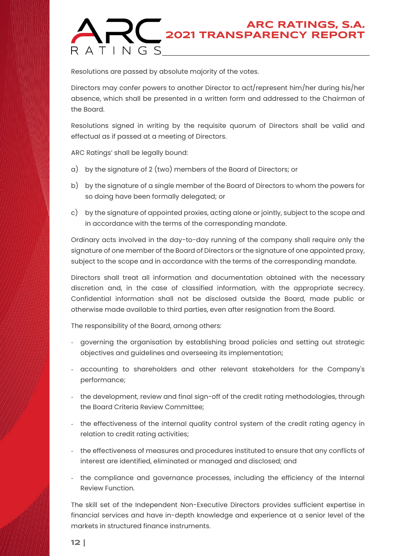Resolutions are passed by absolute majority of the votes.

Directors may confer powers to another Director to act/represent him/her during his/her absence, which shall be presented in a written form and addressed to the Chairman of the Board.

Resolutions signed in writing by the requisite quorum of Directors shall be valid and effectual as if passed at a meeting of Directors.

ARC Ratings' shall be legally bound:

- a) by the signature of 2 (two) members of the Board of Directors; or
- b) by the signature of a single member of the Board of Directors to whom the powers for so doing have been formally delegated; or
- c) by the signature of appointed proxies, acting alone or jointly, subject to the scope and in accordance with the terms of the corresponding mandate.

Ordinary acts involved in the day-to-day running of the company shall require only the signature of one member of the Board of Directors or the signature of one appointed proxy, subject to the scope and in accordance with the terms of the corresponding mandate.

Directors shall treat all information and documentation obtained with the necessary discretion and, in the case of classified information, with the appropriate secrecy. Confidential information shall not be disclosed outside the Board, made public or otherwise made available to third parties, even after resignation from the Board.

The responsibility of the Board, among others:

- governing the organisation by establishing broad policies and setting out strategic objectives and guidelines and overseeing its implementation;
- accounting to shareholders and other relevant stakeholders for the Company's performance;
- the development, review and final sign-off of the credit rating methodologies, through the Board Criteria Review Committee;
- the effectiveness of the internal quality control system of the credit rating agency in relation to credit rating activities;
- the effectiveness of measures and procedures instituted to ensure that any conflicts of interest are identified, eliminated or managed and disclosed; and
- the compliance and governance processes, including the efficiency of the Internal Review Function.

The skill set of the Independent Non-Executive Directors provides sufficient expertise in financial services and have in-depth knowledge and experience at a senior level of the markets in structured finance instruments.

**12 |**